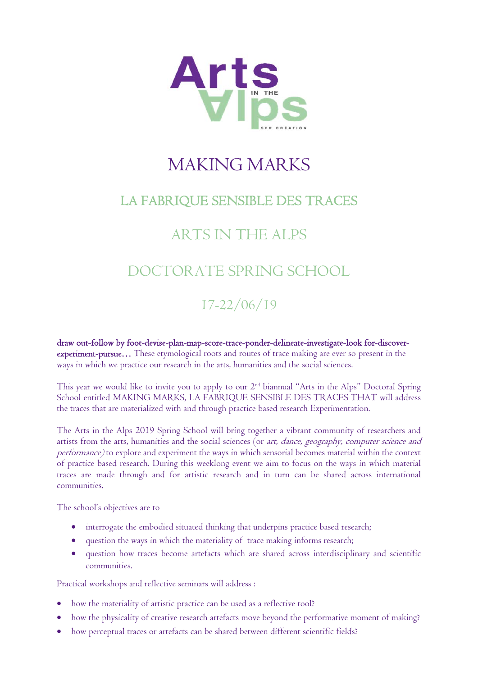

# MAKING MARKS

### LA FABRIQUE SENSIBLE DES TRACES

## ARTS IN THE ALPS

# DOCTORATE SPRING SCHOOL

### 17-22/06/19

draw out-follow by foot-devise-plan-map-score-trace-ponder-delineate-investigate-look for-discoverexperiment-pursue… These etymological roots and routes of trace making are ever so present in the ways in which we practice our research in the arts, humanities and the social sciences.

This year we would like to invite you to apply to our 2nd biannual "Arts in the Alps" Doctoral Spring School entitled MAKING MARKS, LA FABRIQUE SENSIBLE DES TRACES THAT will address the traces that are materialized with and through practice based research Experimentation.

The Arts in the Alps 2019 Spring School will bring together a vibrant community of researchers and artists from the arts, humanities and the social sciences (or art, dance, geography, computer science and performance) to explore and experiment the ways in which sensorial becomes material within the context of practice based research. During this weeklong event we aim to focus on the ways in which material traces are made through and for artistic research and in turn can be shared across international communities.

The school's objectives are to

- interrogate the embodied situated thinking that underpins practice based research;
- question the ways in which the materiality of trace making informs research;
- question how traces become artefacts which are shared across interdisciplinary and scientific communities.

Practical workshops and reflective seminars will address :

- how the materiality of artistic practice can be used as a reflective tool?
- how the physicality of creative research artefacts move beyond the performative moment of making?
- how perceptual traces or artefacts can be shared between different scientific fields?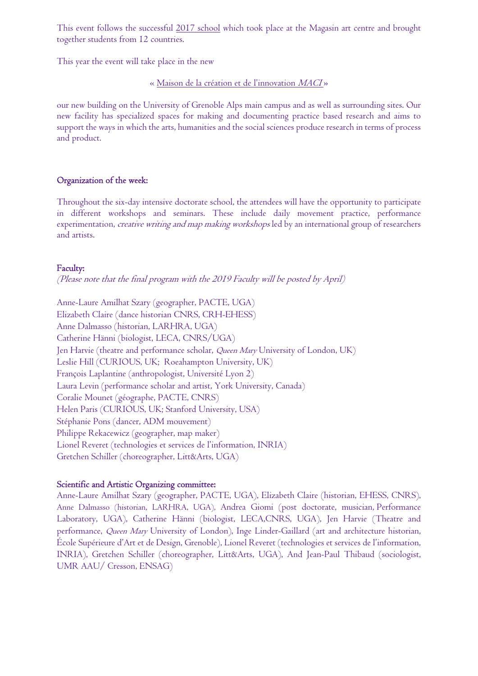This event follows the successful 2017 school which took place at the Magasin art centre and brought together students from 12 countries.

This year the event will take place in the new

« Maison de la création et de l'innovation MACI »

our new building on the University of Grenoble Alps main campus and as well as surrounding sites. Our new facility has specialized spaces for making and documenting practice based research and aims to support the ways in which the arts, humanities and the social sciences produce research in terms of process and product.

#### Organization of the week:

Throughout the six-day intensive doctorate school, the attendees will have the opportunity to participate in different workshops and seminars. These include daily movement practice, performance experimentation, *creative writing and map making workshops* led by an international group of researchers and artists.

#### Faculty:

(Please note that the final program with the 2019 Faculty will be posted by April)

Anne-Laure Amilhat Szary (geographer, PACTE, UGA) Elizabeth Claire (dance historian CNRS, CRH-EHESS) Anne Dalmasso (historian, LARHRA, UGA) Catherine Hänni (biologist, LECA, CNRS/UGA) Jen Harvie (theatre and performance scholar, *Queen Mary* University of London, UK) Leslie Hill (CURIOUS, UK; Roeahampton University, UK) François Laplantine (anthropologist, Université Lyon 2) Laura Levin (performance scholar and artist, York University, Canada) Coralie Mounet (géographe, PACTE, CNRS) Helen Paris (CURIOUS, UK; Stanford University, USA) Stéphanie Pons (dancer, ADM mouvement) Philippe Rekacewicz (geographer, map maker) Lionel Reveret (technologies et services de l'information, INRIA) Gretchen Schiller (choreographer, Litt&Arts, UGA)

#### Scientific and Artistic Organizing committee:

Anne-Laure Amilhat Szary (geographer, PACTE, UGA), Elizabeth Claire (historian, EHESS, CNRS), Anne Dalmasso (historian, LARHRA, UGA), Andrea Giomi (post doctorate, musician, Performance Laboratory, UGA), Catherine Hänni (biologist, LECA,CNRS, UGA), Jen Harvie (Theatre and performance, Queen Mary University of London), Inge Linder-Gaillard (art and architecture historian, École Supérieure d'Art et de Design, Grenoble), Lionel Reveret (technologies et services de l'information, INRIA), Gretchen Schiller (choreographer, Litt&Arts, UGA), And Jean-Paul Thibaud (sociologist, UMR AAU/ Cresson, ENSAG)